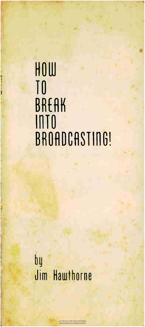# . HOLU , TO BREAK IllTO BROADCASTING!

bg Jim Hawthorne

**World Radio History**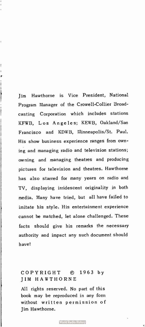Jim Hawthorne is Vice President, National Program Manager of the Crowell-Collier Broadcasting Corporation which includes stations KFWB, Los Angeles; KEWB, Oakland/San Francisco and KDWB, Minneapolis/St. Paul. His show business experience ranges from owning and managing radio and television stations; owning and managing theatres and producing pictures for television and theatres. Hawthorne has also starred for many years on radio and TV, displaying irridescent originality in both media. Many have tried, but all have failed to imitate his style. His entertainment experience cannot be matched, let alone challenged. These facts should give his remarks the necessary authority and impact any such document should have!

 $\begin{array}{c} \end{array}$ 

 $\mathfrak{f}$  $\overline{\phantom{a}}$ 

# COPYRIGHT © 1963 by JIM HAWTHORNE

All rights reserved. No part of this book may be reproduced in any form without written permission of Jim Hawthorne.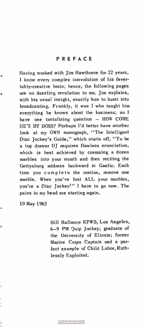Having worked with Jim Hawthorne for 22 years, I know every complex convolution of his feverishly-creative brain; hence, the following pages are no dazzling revelation to me. Jim explains, with his usual insight, exactly how to burst into broadcasting. Frankly, it was I who taught him everything he knows about the business; so I have one tantalizing question — HOW COME HE'S MY BOSS? Perhaps I'd better have another look at my OWN monograph, "The Intelligent Disc Jockey's Guide," which starts off, " To be a top drawer DJ requires flawless enunciation, which is best achieved by cramming a dozen marbles into your mouth and then reciting the Gettysburg address backward in Gaelic. Each time you complete the oration, remove one marble. When you've lost ALL your marbles, you're a Disc Jockey!" I have to go now. The pains in my head are starting again.

10 May 1963

Bill Ballance KFWB, Los Angeles, 6-9 PM Quip Jockey; graduate of the University of Illinois; former Marine Corps Captain and a perfect example of Child Labor, Ruthlessly Exploited.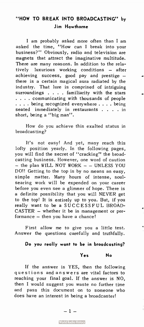# "HOW TO BREAK INTO BROADCASTING" by Jim Hawthorne

I am probably asked more often than I am asked the time, "How can I break into your business?" Obviously, radio and television are magnets that attract the imaginative multitude. There are many reasons. In addition to the relatively luxurious working conditions — after achieving success, good pay and prestige there is a certain magical aura radiated by the industry. That lure is comprised of intriguing surroundings  $\ldots$  . familiarity with the stars . . . . communicating with thousands of people . . . . being recognized everywhere . . . . being seated immediately in restaurants . . . . in short, being a "big man".

How do you achieve this exalted status in broadcasting?

It's not easy! And yet, many reach this lofty position yearly. In the following pages, you will find the secret of "cracking" the broadcasting business. However, one word of caution — the plan WILL NOT WORK — — UNLESS YOU DO!! Getting to the top is by no means an easy, simple matter. Many hours of intense, soulsearing work will be expended on your career before you even see a glimmer of hope. There is a definite possibility that you will NEVER get to the top! It is entirely up to you. But, if you really want to be a SUCCESSFUL BROAD-CASTER — whether it be in management or performance — then you have a chance!

First allow me to give you a little test. Answer the questions carefully and truthfully.

Do you really want to be in broadcasting?

Yes No

If the answer is YES, then the following questions and answers are vital factors to reaching your final goal. If the answer is NO, then I would suggest you waste no further time and pass this document on to someone who does have an interest in being a broadcaster!

**World Radio History**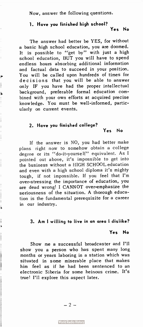Now, answer the following questions.

## 1. Have you finished high school?

## Yes No

The answer had better be YES, for without a basic high school education, you are doomed. It is possible to "get by" with just a high school education, BUT you will have to spend endless hours absorbing additional information and factual data to succeed in your position. You will be called upon hundreds of times for decisions that you will be able to answer only IF you have had the proper intellectual background, preferable formal education combined with your own efforts at acquired precise knowledge. You must be well-informed, particularly on current events.

## 2. Have you finished college?

#### Yes No

If the answer is NO, you had better make plans right now to somehow obtain a college degree or its "do-it-yourself" equivalent. As I pointed out above, it's impossible to get into the business without a HIGH SCHOOL education and even with a high school diploma it's mighty tough, if not impossible. If you feel that I'm over-stressing the importance of education, you are dead wrong! I CANNOT over-emphasize the seriousness of the situation. A thorough education is the fundamental prerequisite for a career in our industry.

j

## 3. Am I willing to live in an area I dislike?

## Yes No

Show me a successful broadcaster and I'll show you a person who has spent many long months or years laboring in a station which was situated in some miserable place that makes him feel as if he had been sentenced to an electronic Siberia for some heinous crime. It's true! I'll explore this aspect later.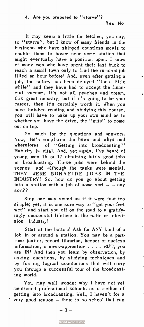## 4. Are you prepared to " starve"?

 $\blacktriangleleft$ 

ŧ

 $\mathbf{i}$  $\mathbf{\mathbf{I}}$ 

j

It may seem a little far fetched, you say, to " starve", but I know of many friends in the business who have skipped countless meals to enable them to hover near some station that might eventually have a position open. I know of many men who have spent their last buck to reach a small town only to fi nd the rumored job filled an hour before! And, éven after getting a job, the salary has been delayed "for a little while" and they have had to accept the financial vacuum. It's not all peaches and cream, this great industry, but if it's going to be your career, then it's certainly worth it. When you have finished reading and studying this course, you will have to make up your own mind as to whether you have the drive, the "guts" to come out on top.

So much for the questions and answers. Now, let's explore the hows and whys and wherefores of "Getting into broadcasting!" Maturity is vital. And, yet again, I've heard of young men 16 or 17 obtaining fairly good jobs in broadcasting. These jobs were behind the scenes, and although the tasks were menial, THEY WERE BON A FIDE JOBS IN THE INDUSTRY! So, how do you go about getting into a station with a job of some sort  $-$  - any sort??

Step one may sound as if it were just too simple; yet, it is one sure way to "get your feet wet" and start you off on the road to a gratifyingly successful lifetime in the radio or television industry!

Start at the bottom! Ask for ANY kind of a job in or around a station. You may be a parttime janitor, record librarian, keeper of useless information, a news-apprentice . . . . BUT, you are IN! And then you learn by observation, by asking questions, by studying techniques and by forming logical conclusions that will carry you through a successful tour of the broadcasting world.

You may well wonder why I have not yet mentioned professional schools as a method of getting into broadcasting. Well, I haven't for a  $\cdot$  very good reason  $-$  there is no school that can

 $-3 -$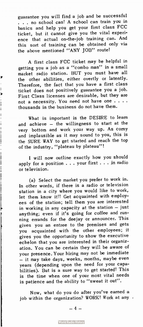guarantee you will find a job and be successful . . . no school can! A school can train you in basics and help you get your first class FCC ticket, but it cannot give you the vital experience that actual on-the-job training can. And this sort of training can be obtained only via the above mentioned "ANY JOB" route!

A first class FCC ticket may be helpful in getting you a job as a " combo man" in a small market radio station. BUT you must have all the other abilities, either overtly or latently. Therefore, the fact that you have a first class ticket does not positively guarantee you a job. First Class licenses are desirable, but they are not a necessity. You need not have one . . . . thousands in the business do not have them.

Ì

İ  $\overline{1}$ 

What is important is the DESIRE to learn and achieve — the willingness to start at the very bottom and work your way up. As corny and implausible as it may sound to you, this is the SURE WAY to get started and reach the top of the industry, "plateau by plateau"!

I will now outline exactly how you should apply for a position  $\ldots$  your first  $\ldots$  in radio or television.

(a) Select the market you prefer to work in. In other words, if there is a radio or television station in a city where you would like to work, let them know it!! Get acquainted with employees of the station; tell them you are interested in working in any capacity at the station — just anything; even if it's going for coffee and running errands for the deejay or announcer. This gives you an entree to the premises and gets you acquainted with the other employees; it gives you the opportunity to show the executive echelon that you are interested in their organization. You can be certain they will be aware of your presence. Your hiring may not be immediate — it may take days, weeks, months, maybe even years (depending upon the need for your capabilities). But is a sure way to get started! This is the time when one of your most vital needs is patience and the ability to "sweat it out".

Now, what do you do after you've earned a job within the organization? WORK! Work at any .

— 4 —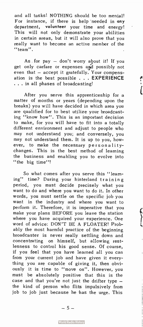and all tasks! NOTHING should be too menial! For instance, if there is help needed in any department, volunteer your time and energy! This will not only demonstrate your abilities in certain areas, but it will also prove that you really want to become an active member of the "team".

As for pay  $-$  don't worry about it! If you get only carfare or expenses aid possibly not even that — accept it gratefully. Your compensation is the best possible . . . EXPERIENCE . . . in all phases of broadcasting!

 $\overline{\mathfrak{l}}$ 

After you serve this apprenticeship for a matter of months or years (depending upon the breaks) you will have decided in which area you are qualified for to best utilize your broadcasting "know how". This is an important decision to make, for you will have to fit into a totally different environment and adjust to people who may not understand you; and conversely, you may not understand them. It is up to you, however, to make the necessary personalitychanges. This is the best method of learning the business and enabling you to evolve into "the big time"!

So what comes after you serve this " learning" time? During your hinterland training period, you must decide precisely what you want to do and where you want to do it. In other words, you must settle on the specific job you want in the industry and where you want to perform it. Therefore, it is imperative that you make your plans BEFORE you leave the station where you have acquired your experience. One word of advice: DON'T BE A FLOATER! Probably the most harmful practice of the beginning broadcaster is never really settling down and concentrating on himself, but allowing restlesness to control his good sense. Of course, if you feel that you have learned all you can from your current job and have given it everything you are capable of giving it, then obviously it is time to "move on". However, you must be absolutely positive that this is the case and that you're not just the drifter type the kind of person who flits impulsively from job to job just because he has the urge. This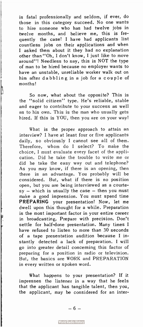is fatal professionally and seldom, if ever, do those in this category succeed. No one wants to hire someone who has had twelve jobs in twelve months, and believe me, this is frequently the case! I have had applicants list countless jobs on their applications and when I asked them about it they had no explanation other than"Oh, I don't know, I just like to move around"! Needless to say, this is NOT the type of man to be hired because no employer wants to have an unstable, unreliable worker walk out on him after dabbling in a job for a couple of months!

So now, what about the opposite? This is the "solid citizen" type. He's reliable, stable and eager to contribute to your success as well as to his own. This is the man who usually gets hired. If this is YOU, then you are on your way!

What is the proper approach to attain an interview? I have at least four or five applicants daily, so obviously I cannot see all of them. Therefore, whom do I select? To make the choice, I must evaluate every facet of the application. Did he take the trouble to write me or did he take the easy way out and telephone? As you may know, if there is an opening, then there is an advantage. You probably will be considered. But, what if there is no position open, but you are being interviewed as a courte $sy - which$  is usually the case  $-$  then you must make a good impression. You must spend time PREPARING your presentation! Now, let me dwell upon this thought for a while. Preparation is the most important factor in your entire career in broadcasting. Prepare with precision. Don't settle for half-done presentation. Many times I have refused to listen to more than 30 seconds of a tape presentation audition because I instantly detected a lack of preparation. I will go into greater detail concerning this factor of preparing for a position in radio or television. But, the basics are WORK and PREPARATION in every written or spoken word.

What happens to your presentation? If it impresses the listener in a way that he feels that the applicant has tangible talent, then you, the applicant, may be considered for an inter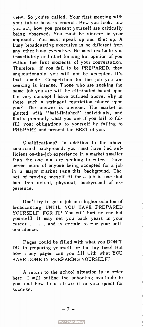view. So you're called. Your first meeting with your future boss is crucial. How you look, how you act, how you present yourself are critically being observed. You must be sincere in your approach. You must speak up and shut up. A busy broadcasting executive is no different from any other busy executive. He must evaluate you immediately and start forming his opinion of you within the first moments of your conversation. Therefore, if you fail to be PREPARED, then unquestionably you will not be accepted. It's that simple. Competition for the job you are seeking is intense. Those who are seeking the same job you are will be eliminated based upon the very concept I have outlined above. Why is there such a stringent restriction placed upon you? The answer is obvious: The market is glutted with "half-finished" individuals, and that's precisely what you are if you fail to fulfill your obligations to yourself by failing to PREPARE and present the BEST of you.

Qualifications? In addition to the above mentioned background, you must have had sufficient on-the-job experience in a market smaller than the one you are seeking to enter. I have never heard of anyone being accepted for a job in a major market sans this background. The act of proving oneself fit for a job is one that has this actual, physical, background of experience.

 $\overline{1}$ 

 $\vert$ 

ł

Don't try to get a job in a higher echelon of broadcasting UNTIL YOU HAVE PREPARED YOURSELF FOR IT! You will hurt no one but yourself! It may set you back years in your career....and is certain to mar your selfconfidence.

Pages could be filled with what you DON'T DO in preparing yourself for the big time! But how many pages can you fill with what YOU HAVE DONE IN PREPARING YOURSELF?

A return to the school situation is in order here. I will outline the schooling available to you and how to utilize it in your quest for success.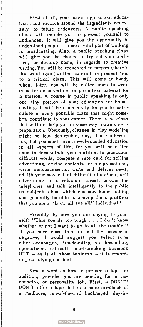First of all, your basic high school education must revolve around the ingredients necessary to future endeavors. A public speaking class will enable you to present yourself to audiences. It will give you the opportunity to understand people — a most vital part of working in broadcasting. Also, a public speaking class will give you the chance to try out your abilities, or develop same, in regards to creative writing. You will be requested to prepare (there's that word again)written material for presentation to a critical class. This will come in handy when, later, you will be called upon to write copy for an advertiser or promotion material for a station. A course in public speaking is only one tiny portion of your education for broadcasting. It will be a necessity for you to matriculate in every possible class that might somehow contribute to your career. There is no class that will not help you in some way towards selfpreparation. Obviously, classes in clay modeling might be less desireable, say, than mathematics, but you must have a well-rounded education in all aspects of life, for you will be called upon to demonstrate your abilities to pronounce difficult words, compute a rate card for selling advertising, devise contests for air promotions, write announcements, write and deliver news, ad lib your way out of difficult situations, sell advertising to a reluctant client, answer the telephones and talk intelligently to the public on subjects about which you may know nothing and generally be able to convey the impression that you are a "know all see all" individual!!

Possibly by now you are saying to yourself: "This sounds too tough . . . I don't know whether or not I want to go to all the trouble"! If you have come this far and the answer is negative, I would suggest you select some other occupation. Broadcasting is a demanding, specialized, difficult, heart-breaking business  $BUT - as$  is all show business - it is rewarding, satisfying and fun!

Now a word on how to prepare a tape for audition, provided you are heading for an announcing or personality job. First, a DON'T! DON'T offer a tape that is a mere air-check of a mediocre, run-of-the-mill hackneyed, day-in-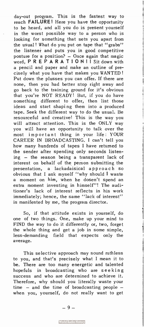day-out program. This is the fastest way to reach FAILURE! Here you have the opportunity to be heard, and all you do is present yourself in the worst possible way to a person who is looking for something that sets you apart from the usual! What do you put on tape that " grabs" the listener and puts you in good competitive posture for a position? — Once again that magic word, PREPARATION!! Sit down with a pencil and paper and make an outline of precisely what you have that makes you WANTED! Put down the plusses you can offer. If there are none, then you had better stop right away and go back to the training ground for it's obvious that you're NOT READY! But, if you do have something different to offer, then list those ideas and start shaping them into a produced tape. Seek the different way to do the usual. Be resourceful and creative! This is the way you will attract attention. This is the ONLY way you will have an opportunity to talk over the most important thing in your life: YOUR CAREER IN BROADCASTING. I can't tell you how many hundreds of tapes I have returned to the sender after spending only seconds listening — the reason being a transparent lack of interest on behalf of the person submitting the presentation, a lackadaisical approach so obvious that I ask myself " why should I waste a moment on him, when he dosen't spend an extra moment investing in himself"! The auditioner's lack of interest reflects in his work immediately; hence, the same "lack of interest" is manifested by me, the program director.

So, if that attitude exists in yourself, do one of two things. One, make up your mind to FIND the way to do it differently or, two, forget the whole thing and get a job in some simple, less-demanding field that expects only the average.

This selective approach may sound ruthless to you, and that's precisely what I mean it to be. There are too many energetic and talented hopefuls in broadcasting who are seeking success and who are determined to achieve it. Therefore, why should you literally waste your time — and the time of broadcasting people when you, yourself, do not really want to get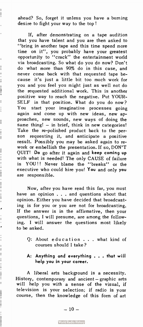ahead? So, forget it unless you have a burning desire to fight your way to the top !

ļ

 $\mathbf{I}$ I  $\frac{1}{2}$ ł  $\frac{1}{2}$ 

ł  $\frac{1}{4}$ 

ţ  $\overline{1}$ į

ł

 $\begin{array}{c} \begin{array}{c} \cdot \end{array} & \begin{array}{c} \cdot \end{array} & \begin{array}{c} \cdot \end{array} & \begin{array}{c} \cdot \end{array} & \begin{array}{c} \cdot \end{array} & \begin{array}{c} \cdot \end{array} & \begin{array}{c} \cdot \end{array} & \begin{array}{c} \cdot \end{array} & \begin{array}{c} \cdot \end{array} & \begin{array}{c} \cdot \end{array} & \begin{array}{c} \cdot \end{array} & \begin{array}{c} \cdot \end{array} & \begin{array}{c} \cdot \end{array} & \begin{array}{c} \cdot \end{array} & \begin{$ 

 $\overline{\phantom{a}}$ 

ŕ

 $\frac{1}{2}$ j

 $\frac{1}{2}$  and  $\frac{1}{2}$  and  $\frac{1}{2}$  and  $\frac{1}{2}$  and  $\frac{1}{2}$  and  $\frac{1}{2}$  and  $\frac{1}{2}$  and  $\frac{1}{2}$  and  $\frac{1}{2}$  and  $\frac{1}{2}$  and  $\frac{1}{2}$  and  $\frac{1}{2}$  and  $\frac{1}{2}$  and  $\frac{1}{2}$  and  $\frac{1}{2}$  and  $\frac{1}{2}$  a

 $\frac{1}{2}$ 

İ

If, after demonstrating on a tape audition that you have talent and you are then asked to "bring in another tape and this time spend more time on it", you probably have your greatest opportunity to "crack" the entertainment world via broadcasting. So what do you do now? Don't do what more than 90% do in this case, and never come back with that requested tape because it's just a little bit too much work for you and you feel you might just as well not do the requested additional work. This is another positive way to reach the negative. Put YOUR-SELF in that position. What do you do now? You start your imaginative processes going again and come up with new ideas, new approaches, new sounds, new ways of doing the same thing! — in brief, think in new categories! Take the re-polished product back to the person requesting it, and anticipate a positive result. Possibly you may be asked again to rework or embellish the presentation. If so, DON'T QUIT! Do go after it again and keep coming up with what is needed! The only CAUSE of failure is YOU!! Never blame the "breaks" or the executive who could hire you! You and only you are responsible.

Now, after you have read this far, you must have an opinion . . . and questions about that opinion. Either you have decided that broadcasting is for you or you are not for broadcasting. If the answer is in the affirmative, then your questions, I will presume, are among the following. I will answer the questions most likely to be asked.

- Q: About education . . . what kind of courses should I take?
- A: Anything and everything . . . that will help you in your career.

A liberal arts background is a necessity. History, contemporary and ancient — graphic arts will help you with a sense of the visual, if television is your selection; if radio is your course, then the knowledge of this form of art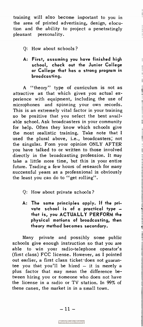training will also become important to you in the area of printed advertising, design, elocution and the ability to project a penetratingly pleasant personality.

- Q: How about schools?
- A: First, assuming you have finished high school, check out the Junior College or College that has a strong program in broadcasting.

 $\overline{1}$ 

A "theory" type of curriculum is not as attractive as that which gives you actual experience with equipment, including the use of microphones and spinning your own records. This is an extremely vital factor in your training so be positive that you select the best available school. Ask broadcasters in your community for help. Often they know which schools give the most realistic training. Take note that I used the plural above, i.e., broadcasters; not the singular. Form your opinion ONLY AFTER you have talked to or written to those involved directly in the broadcasting profession. It may take a little more time, but this is your entire future. Trading a few hours of research for many successful years as a professional is obviously the least you can do to " get rolling".

- Q: How about private schools?
- A: The same principles apply. If the private school is of a practical type that is, you ACTUALLY PERFORM the physical motions of broadcasting, then theory method becomes secondary.

Many private and possibly some public schools give enough instruction so that you are able to win your radio-telephone operator's (first class) FCC license. However, as I pointed out earlier, a first class ticket does not guarantee you that you'll be hired  $-$  it is merely a plus factor that may mean the difference between hiring you or someone who does not have the license in a radio or TV station. In 99% of these cases, the market is in a small town.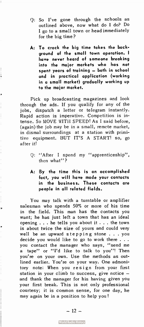- Q: So I've gone through the schools as outlined above, now what do I do? Do I go to a small town or head immediately for the big time?
- A: To crack the big time takes the background of the small town operation. I have never heard of someone breaking into the major markets who has not spent years of training — both in school and in practical application (working in a small market) gradually working up to the major market.

Pick up broadcasting magazines and look through the ads. If you qualify for any of the jobs, dispatch a letter or telegram instantly. Rapid action is imperative. Competition is intense. So MOVE WITH SPEED! As I said before, (again) the job may be in a small, remote market, in dismal surroundings at a station with primitive equipment. BUT IT'S A START! so, go after it!

r

 $\begin{array}{c} 1 \\ 1 \\ 2 \end{array}$ 

- Q: "After I spend my "apprenticeship", then what"?
- A: By the time this is an accomplished fact, you will have mode your contacts in the business. These contacts are people in all related fields.

You may talk with a turntable or amplifier salesman who spends 50% or more of his time in the field. This man has the contacts you want; he has just left a town that has an ideal opening . . . he tells you about it . . . the town is about twice the size of yours and could very well be an upward stepping stone . . . you decide you would like to go to work there . . . you contact the manager who says, "send me a tape" or "I'd like to talk to you"! Then you're on your own. Use the methods as outlined earlier. You're on your way. One admonitory note: When you re si gn from your first station in your climb to success, give notice and thank the manager for his having given you your first break. This is not only professional courtesy; it is common sense, for one day, he may again be in a position to help you!